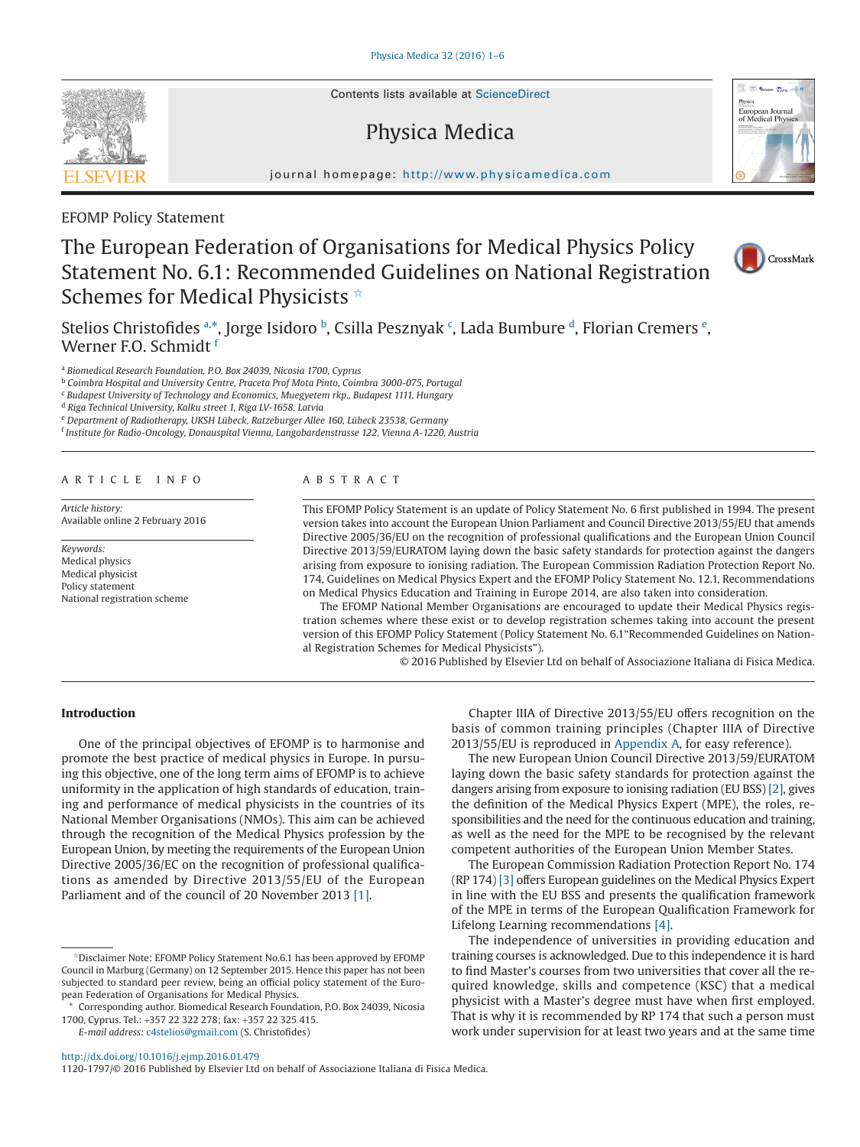Contents lists available at [ScienceDirect](http://www.sciencedirect.com/science/journal/11201797)

# Physica Medica

journal homepage: [http://www.physicamedica.com](http://http://www.physicamedica.com)

EFOMP Policy Statement

# The European Federation of Organisations for Medical Physics Policy Statement No. 6.1: Recommended Guidelines on National Registration Schemes for Medical Physicists [☆](#page-0-0)



 $C_{\text{max}}$ <sub>Medica</sub><br>European Journal<br>of Medical Physi

Stelios Christofides a.[\\*,](#page-0-2) Jorge Isidoro <sup>[b](#page-0-3)</sup>, Csilla Pesznyak <sup>[c](#page-0-4)</sup>, Lada Bumbur[e](#page-0-6) <sup>d</sup>, Florian Cremers <sup>e</sup>, Werner F.O. Schmidt [f](#page-0-7)

<span id="page-0-1"></span><sup>a</sup> *Biomedical Research Foundation, P.O. Box 24039, Nicosia 1700, Cyprus*

<span id="page-0-3"></span><sup>b</sup> *Coimbra Hospital and University Centre, Praceta Prof Mota Pinto, Coimbra 3000-075, Portugal*

<span id="page-0-4"></span><sup>c</sup> *Budapest University of Technology and Economics, Muegyetem rkp., Budapest 1111, Hungary*

<span id="page-0-5"></span><sup>d</sup> *Riga Technical University, Kalku street 1, Riga LV-1658, Latvia*

<span id="page-0-6"></span><sup>e</sup> *Department of Radiotherapy, UKSH Lübeck, Ratzeburger Allee 160, Lübeck 23538, Germany*

<span id="page-0-7"></span><sup>f</sup> *Institute for Radio-Oncology, Donauspital Vienna, Langobardenstrasse 122, Vienna A-1220, Austria*

#### ARTICLE INFO

*Article history:* Available online 2 February 2016

*Keywords:* Medical physics Medical physicist Policy statement National registration scheme

#### ABSTRACT

This EFOMP Policy Statement is an update of Policy Statement No. 6 first published in 1994. The present version takes into account the European Union Parliament and Council Directive 2013/55/EU that amends Directive 2005/36/EU on the recognition of professional qualifications and the European Union Council Directive 2013/59/EURATOM laying down the basic safety standards for protection against the dangers arising from exposure to ionising radiation. The European Commission Radiation Protection Report No. 174, Guidelines on Medical Physics Expert and the EFOMP Policy Statement No. 12.1, Recommendations on Medical Physics Education and Training in Europe 2014, are also taken into consideration.

The EFOMP National Member Organisations are encouraged to update their Medical Physics registration schemes where these exist or to develop registration schemes taking into account the present version of this EFOMP Policy Statement (Policy Statement No. 6.1"Recommended Guidelines on National Registration Schemes for Medical Physicists").

© 2016 Published by Elsevier Ltd on behalf of Associazione Italiana di Fisica Medica.

#### **Introduction**

One of the principal objectives of EFOMP is to harmonise and promote the best practice of medical physics in Europe. In pursuing this objective, one of the long term aims of EFOMP is to achieve uniformity in the application of high standards of education, training and performance of medical physicists in the countries of its National Member Organisations (NMOs). This aim can be achieved through the recognition of the Medical Physics profession by the European Union, by meeting the requirements of the European Union Directive 2005/36/EC on the recognition of professional qualifications as amended by Directive 2013/55/EU of the European Parliament and of the council of 20 November 2013 [\[1\].](#page-5-0)

*E-mail address:* [c4stelios@gmail.com](mailto:c4stelios@gmail.com) (S. Christofides)

Chapter IIIA of Directive 2013/55/EU offers recognition on the basis of common training principles (Chapter IIIA of Directive 2013/55/EU is reproduced in Appendix A, for easy reference).

The new European Union Council Directive 2013/59/EURATOM laying down the basic safety standards for protection against the dangers arising from exposure to ionising radiation (EU BSS) [\[2\],](#page-5-1) gives the definition of the Medical Physics Expert (MPE), the roles, responsibilities and the need for the continuous education and training, as well as the need for the MPE to be recognised by the relevant competent authorities of the European Union Member States.

The European Commission Radiation Protection Report No. 174 (RP 174) [\[3\]](#page-5-2) offers European guidelines on the Medical Physics Expert in line with the EU BSS and presents the qualification framework of the MPE in terms of the European Qualification Framework for Lifelong Learning recommendations [\[4\].](#page-5-3)

The independence of universities in providing education and training courses is acknowledged. Due to this independence it is hard to find Master's courses from two universities that cover all the required knowledge, skills and competence (KSC) that a medical physicist with a Master's degree must have when first employed. That is why it is recommended by RP 174 that such a person must work under supervision for at least two years and at the same time

http://dx.doi.org/10.1016/j.ejmp.2016.01.479

1120-1797/© 2016 Published by Elsevier Ltd on behalf of Associazione Italiana di Fisica Medica.



<span id="page-0-0"></span><sup>☆</sup>Disclaimer Note: EFOMP Policy Statement No.6.1 has been approved by EFOMP Council in Marburg (Germany) on 12 September 2015. Hence this paper has not been subjected to standard peer review, being an official policy statement of the European Federation of Organisations for Medical Physics.

<span id="page-0-2"></span>Corresponding author. Biomedical Research Foundation, P.O. Box 24039, Nicosia 1700, Cyprus. Tel.: +357 22 322 278; fax: +357 22 325 415.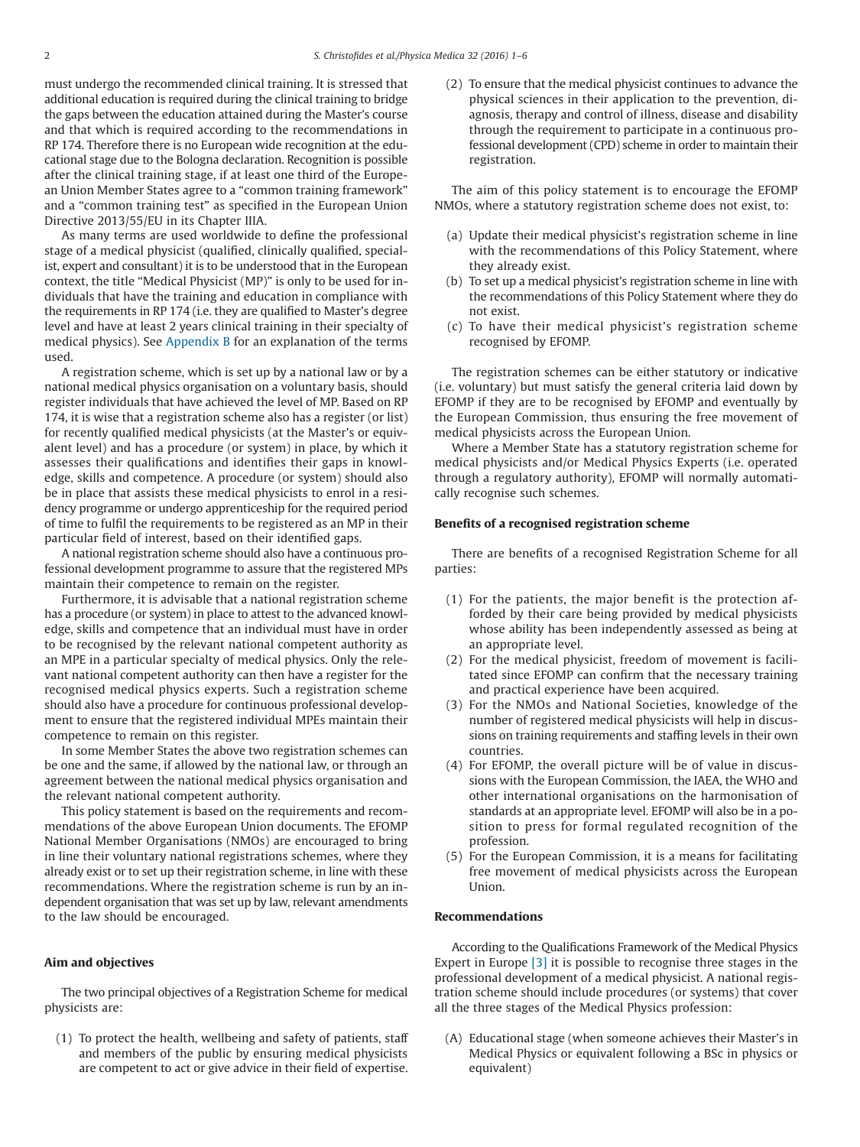must undergo the recommended clinical training. It is stressed that additional education is required during the clinical training to bridge the gaps between the education attained during the Master's course and that which is required according to the recommendations in RP 174. Therefore there is no European wide recognition at the educational stage due to the Bologna declaration. Recognition is possible after the clinical training stage, if at least one third of the European Union Member States agree to a "common training framework" and a "common training test" as specified in the European Union Directive 2013/55/EU in its Chapter IIIA.

As many terms are used worldwide to define the professional stage of a medical physicist (qualified, clinically qualified, specialist, expert and consultant) it is to be understood that in the European context, the title "Medical Physicist (MP)" is only to be used for individuals that have the training and education in compliance with the requirements in RP 174 (i.e. they are qualified to Master's degree level and have at least 2 years clinical training in their specialty of medical physics). See Appendix B for an explanation of the terms used.

A registration scheme, which is set up by a national law or by a national medical physics organisation on a voluntary basis, should register individuals that have achieved the level of MP. Based on RP 174, it is wise that a registration scheme also has a register (or list) for recently qualified medical physicists (at the Master's or equivalent level) and has a procedure (or system) in place, by which it assesses their qualifications and identifies their gaps in knowledge, skills and competence. A procedure (or system) should also be in place that assists these medical physicists to enrol in a residency programme or undergo apprenticeship for the required period of time to fulfil the requirements to be registered as an MP in their particular field of interest, based on their identified gaps.

A national registration scheme should also have a continuous professional development programme to assure that the registered MPs maintain their competence to remain on the register.

Furthermore, it is advisable that a national registration scheme has a procedure (or system) in place to attest to the advanced knowledge, skills and competence that an individual must have in order to be recognised by the relevant national competent authority as an MPE in a particular specialty of medical physics. Only the relevant national competent authority can then have a register for the recognised medical physics experts. Such a registration scheme should also have a procedure for continuous professional development to ensure that the registered individual MPEs maintain their competence to remain on this register.

In some Member States the above two registration schemes can be one and the same, if allowed by the national law, or through an agreement between the national medical physics organisation and the relevant national competent authority.

This policy statement is based on the requirements and recommendations of the above European Union documents. The EFOMP National Member Organisations (NMOs) are encouraged to bring in line their voluntary national registrations schemes, where they already exist or to set up their registration scheme, in line with these recommendations. Where the registration scheme is run by an independent organisation that was set up by law, relevant amendments to the law should be encouraged.

#### **Aim and objectives**

The two principal objectives of a Registration Scheme for medical physicists are:

(1) To protect the health, wellbeing and safety of patients, staff and members of the public by ensuring medical physicists are competent to act or give advice in their field of expertise. (2) To ensure that the medical physicist continues to advance the physical sciences in their application to the prevention, diagnosis, therapy and control of illness, disease and disability through the requirement to participate in a continuous professional development (CPD) scheme in order to maintain their registration.

The aim of this policy statement is to encourage the EFOMP NMOs, where a statutory registration scheme does not exist, to:

- (a) Update their medical physicist's registration scheme in line with the recommendations of this Policy Statement, where they already exist.
- (b) To set up a medical physicist's registration scheme in line with the recommendations of this Policy Statement where they do not exist.
- (c) To have their medical physicist's registration scheme recognised by EFOMP.

The registration schemes can be either statutory or indicative (i.e. voluntary) but must satisfy the general criteria laid down by EFOMP if they are to be recognised by EFOMP and eventually by the European Commission, thus ensuring the free movement of medical physicists across the European Union.

Where a Member State has a statutory registration scheme for medical physicists and/or Medical Physics Experts (i.e. operated through a regulatory authority), EFOMP will normally automatically recognise such schemes.

### **Benefits of a recognised registration scheme**

There are benefits of a recognised Registration Scheme for all parties:

- (1) For the patients, the major benefit is the protection afforded by their care being provided by medical physicists whose ability has been independently assessed as being at an appropriate level.
- (2) For the medical physicist, freedom of movement is facilitated since EFOMP can confirm that the necessary training and practical experience have been acquired.
- (3) For the NMOs and National Societies, knowledge of the number of registered medical physicists will help in discussions on training requirements and staffing levels in their own countries.
- (4) For EFOMP, the overall picture will be of value in discussions with the European Commission, the IAEA, the WHO and other international organisations on the harmonisation of standards at an appropriate level. EFOMP will also be in a position to press for formal regulated recognition of the profession.
- (5) For the European Commission, it is a means for facilitating free movement of medical physicists across the European Union.

## **Recommendations**

According to the Qualifications Framework of the Medical Physics Expert in Europe [\[3\]](#page-5-2) it is possible to recognise three stages in the professional development of a medical physicist. A national registration scheme should include procedures (or systems) that cover all the three stages of the Medical Physics profession:

(A) Educational stage (when someone achieves their Master's in Medical Physics or equivalent following a BSc in physics or equivalent)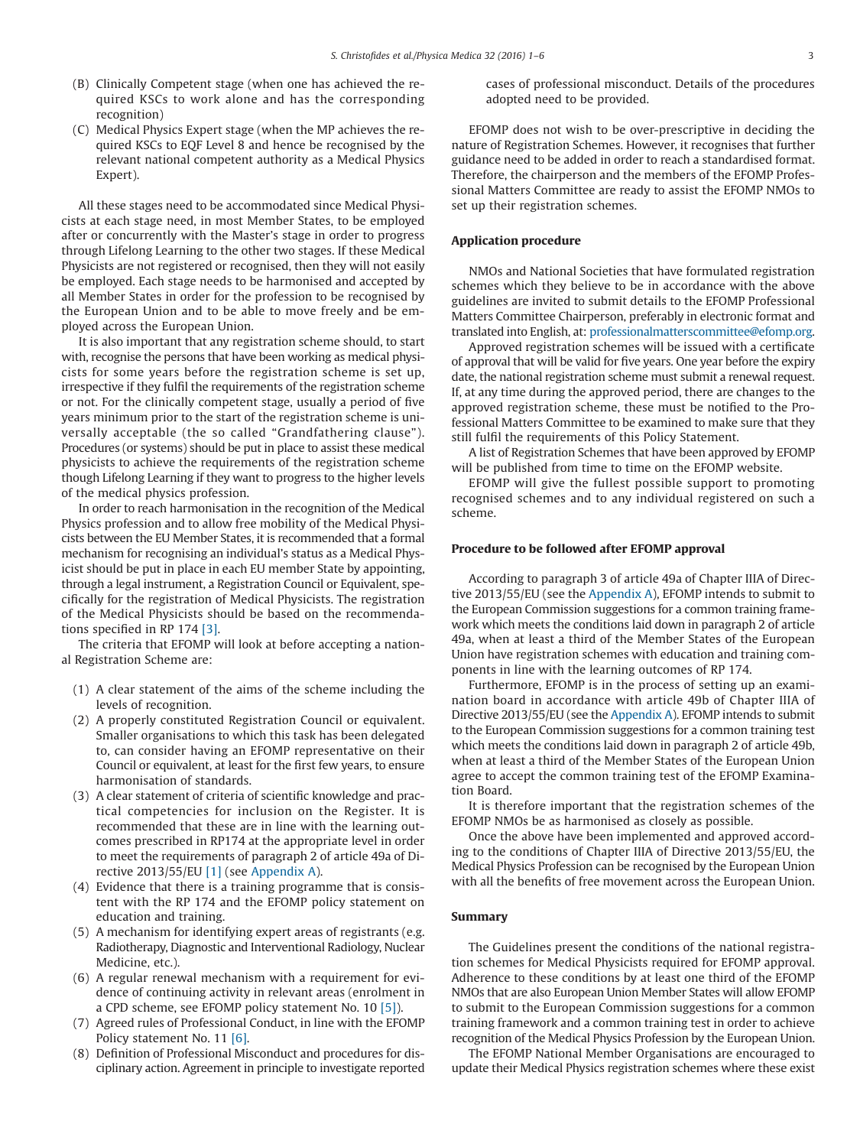- (B) Clinically Competent stage (when one has achieved the required KSCs to work alone and has the corresponding recognition)
- (C) Medical Physics Expert stage (when the MP achieves the required KSCs to EQF Level 8 and hence be recognised by the relevant national competent authority as a Medical Physics Expert).

All these stages need to be accommodated since Medical Physicists at each stage need, in most Member States, to be employed after or concurrently with the Master's stage in order to progress through Lifelong Learning to the other two stages. If these Medical Physicists are not registered or recognised, then they will not easily be employed. Each stage needs to be harmonised and accepted by all Member States in order for the profession to be recognised by the European Union and to be able to move freely and be employed across the European Union.

It is also important that any registration scheme should, to start with, recognise the persons that have been working as medical physicists for some years before the registration scheme is set up, irrespective if they fulfil the requirements of the registration scheme or not. For the clinically competent stage, usually a period of five years minimum prior to the start of the registration scheme is universally acceptable (the so called "Grandfathering clause"). Procedures (or systems) should be put in place to assist these medical physicists to achieve the requirements of the registration scheme though Lifelong Learning if they want to progress to the higher levels of the medical physics profession.

In order to reach harmonisation in the recognition of the Medical Physics profession and to allow free mobility of the Medical Physicists between the EU Member States, it is recommended that a formal mechanism for recognising an individual's status as a Medical Physicist should be put in place in each EU member State by appointing, through a legal instrument, a Registration Council or Equivalent, specifically for the registration of Medical Physicists. The registration of the Medical Physicists should be based on the recommendations specified in RP 174 [\[3\].](#page-5-2)

The criteria that EFOMP will look at before accepting a national Registration Scheme are:

- (1) A clear statement of the aims of the scheme including the levels of recognition.
- (2) A properly constituted Registration Council or equivalent. Smaller organisations to which this task has been delegated to, can consider having an EFOMP representative on their Council or equivalent, at least for the first few years, to ensure harmonisation of standards.
- (3) A clear statement of criteria of scientific knowledge and practical competencies for inclusion on the Register. It is recommended that these are in line with the learning outcomes prescribed in RP174 at the appropriate level in order to meet the requirements of paragraph 2 of article 49a of Directive 2013/55/EU [\[1\]](#page-5-0) (see Appendix A).
- (4) Evidence that there is a training programme that is consistent with the RP 174 and the EFOMP policy statement on education and training.
- (5) A mechanism for identifying expert areas of registrants (e.g. Radiotherapy, Diagnostic and Interventional Radiology, Nuclear Medicine, etc.).
- (6) A regular renewal mechanism with a requirement for evidence of continuing activity in relevant areas (enrolment in a CPD scheme, see EFOMP policy statement No. 10 [\[5\]\)](#page-5-4).
- (7) Agreed rules of Professional Conduct, in line with the EFOMP Policy statement No. 11 [\[6\].](#page-5-5)
- (8) Definition of Professional Misconduct and procedures for disciplinary action. Agreement in principle to investigate reported

cases of professional misconduct. Details of the procedures adopted need to be provided.

EFOMP does not wish to be over-prescriptive in deciding the nature of Registration Schemes. However, it recognises that further guidance need to be added in order to reach a standardised format. Therefore, the chairperson and the members of the EFOMP Professional Matters Committee are ready to assist the EFOMP NMOs to set up their registration schemes.

#### **Application procedure**

NMOs and National Societies that have formulated registration schemes which they believe to be in accordance with the above guidelines are invited to submit details to the EFOMP Professional Matters Committee Chairperson, preferably in electronic format and translated into English, at: [professionalmatterscommittee@efomp.org.](mailto:professionalmatterscommittee@efomp.org)

Approved registration schemes will be issued with a certificate of approval that will be valid for five years. One year before the expiry date, the national registration scheme must submit a renewal request. If, at any time during the approved period, there are changes to the approved registration scheme, these must be notified to the Professional Matters Committee to be examined to make sure that they still fulfil the requirements of this Policy Statement.

A list of Registration Schemes that have been approved by EFOMP will be published from time to time on the EFOMP website.

EFOMP will give the fullest possible support to promoting recognised schemes and to any individual registered on such a scheme.

#### **Procedure to be followed after EFOMP approval**

According to paragraph 3 of article 49a of Chapter IIIA of Directive 2013/55/EU (see the Appendix A), EFOMP intends to submit to the European Commission suggestions for a common training framework which meets the conditions laid down in paragraph 2 of article 49a, when at least a third of the Member States of the European Union have registration schemes with education and training components in line with the learning outcomes of RP 174.

Furthermore, EFOMP is in the process of setting up an examination board in accordance with article 49b of Chapter IIIA of Directive 2013/55/EU (see the Appendix A). EFOMP intends to submit to the European Commission suggestions for a common training test which meets the conditions laid down in paragraph 2 of article 49b, when at least a third of the Member States of the European Union agree to accept the common training test of the EFOMP Examination Board.

It is therefore important that the registration schemes of the EFOMP NMOs be as harmonised as closely as possible.

Once the above have been implemented and approved according to the conditions of Chapter IIIA of Directive 2013/55/EU, the Medical Physics Profession can be recognised by the European Union with all the benefits of free movement across the European Union.

#### **Summary**

The Guidelines present the conditions of the national registration schemes for Medical Physicists required for EFOMP approval. Adherence to these conditions by at least one third of the EFOMP NMOs that are also European Union Member States will allow EFOMP to submit to the European Commission suggestions for a common training framework and a common training test in order to achieve recognition of the Medical Physics Profession by the European Union.

The EFOMP National Member Organisations are encouraged to update their Medical Physics registration schemes where these exist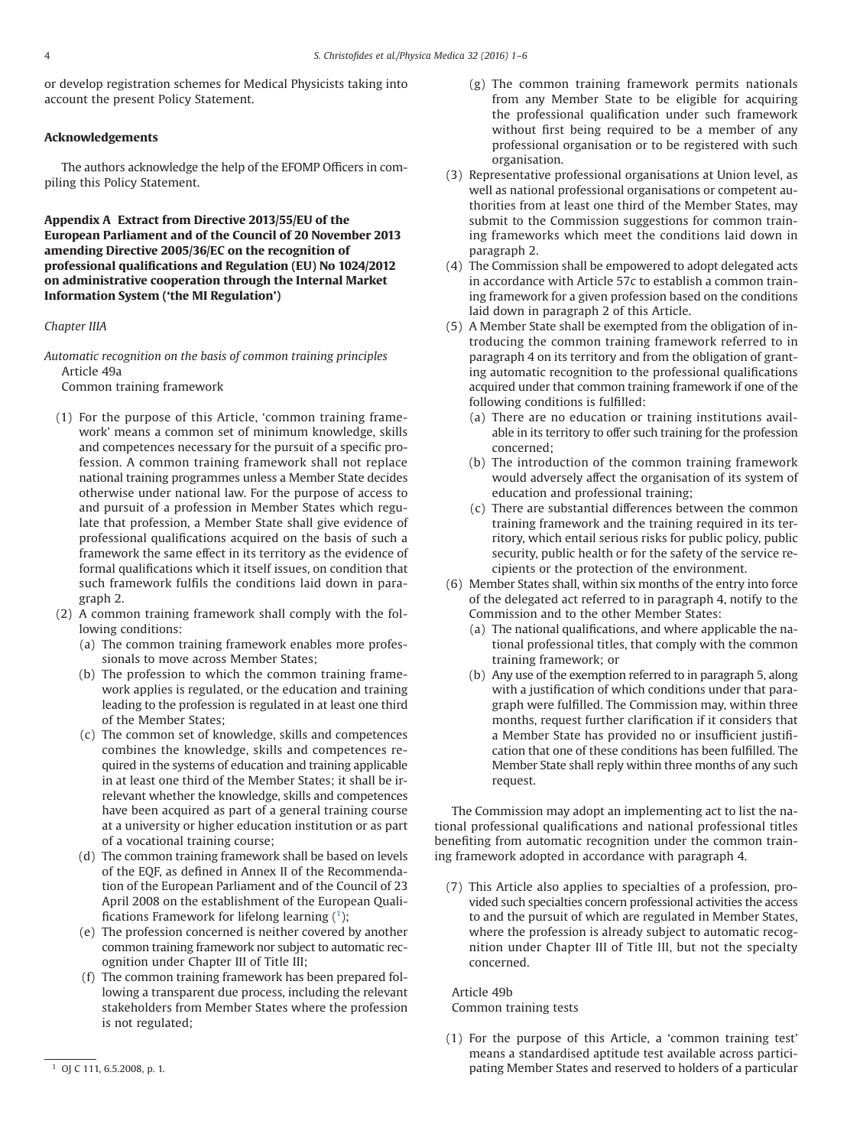or develop registration schemes for Medical Physicists taking into account the present Policy Statement.

### **Acknowledgements**

The authors acknowledge the help of the EFOMP Officers in compiling this Policy Statement.

**Appendix A Extract from Directive 2013/55/EU of the European Parliament and of the Council of 20 November 2013 amending Directive 2005/36/EC on the recognition of professional qualifications and Regulation (EU) No 1024/2012 on administrative cooperation through the Internal Market Information System ('the MI Regulation')**

#### *Chapter IIIA*

*Automatic recognition on the basis of common training principles* Article 49a

Common training framework

- (1) For the purpose of this Article, 'common training framework' means a common set of minimum knowledge, skills and competences necessary for the pursuit of a specific profession. A common training framework shall not replace national training programmes unless a Member State decides otherwise under national law. For the purpose of access to and pursuit of a profession in Member States which regulate that profession, a Member State shall give evidence of professional qualifications acquired on the basis of such a framework the same effect in its territory as the evidence of formal qualifications which it itself issues, on condition that such framework fulfils the conditions laid down in paragraph 2.
- (2) A common training framework shall comply with the following conditions:
	- (a) The common training framework enables more professionals to move across Member States;
	- (b) The profession to which the common training framework applies is regulated, or the education and training leading to the profession is regulated in at least one third of the Member States;
	- (c) The common set of knowledge, skills and competences combines the knowledge, skills and competences required in the systems of education and training applicable in at least one third of the Member States; it shall be irrelevant whether the knowledge, skills and competences have been acquired as part of a general training course at a university or higher education institution or as part of a vocational training course;
	- (d) The common training framework shall be based on levels of the EQF, as defined in Annex II of the Recommendation of the European Parliament and of the Council of 23 April 2008 on the establishment of the European Qualifications Framework for lifelong learning  $(1)$ ;
	- (e) The profession concerned is neither covered by another common training framework nor subject to automatic recognition under Chapter III of Title III;
	- (f) The common training framework has been prepared following a transparent due process, including the relevant stakeholders from Member States where the profession is not regulated;
- (3) Representative professional organisations at Union level, as well as national professional organisations or competent authorities from at least one third of the Member States, may submit to the Commission suggestions for common training frameworks which meet the conditions laid down in paragraph 2.
- (4) The Commission shall be empowered to adopt delegated acts in accordance with Article 57c to establish a common training framework for a given profession based on the conditions laid down in paragraph 2 of this Article.
- (5) A Member State shall be exempted from the obligation of introducing the common training framework referred to in paragraph 4 on its territory and from the obligation of granting automatic recognition to the professional qualifications acquired under that common training framework if one of the following conditions is fulfilled:
	- (a) There are no education or training institutions available in its territory to offer such training for the profession concerned;
	- (b) The introduction of the common training framework would adversely affect the organisation of its system of education and professional training;
	- (c) There are substantial differences between the common training framework and the training required in its territory, which entail serious risks for public policy, public security, public health or for the safety of the service recipients or the protection of the environment.
- (6) Member States shall, within six months of the entry into force of the delegated act referred to in paragraph 4, notify to the Commission and to the other Member States:
	- (a) The national qualifications, and where applicable the national professional titles, that comply with the common training framework; or
	- (b) Any use of the exemption referred to in paragraph 5, along with a justification of which conditions under that paragraph were fulfilled. The Commission may, within three months, request further clarification if it considers that a Member State has provided no or insufficient justification that one of these conditions has been fulfilled. The Member State shall reply within three months of any such request.

The Commission may adopt an implementing act to list the national professional qualifications and national professional titles benefiting from automatic recognition under the common training framework adopted in accordance with paragraph 4.

(7) This Article also applies to specialties of a profession, provided such specialties concern professional activities the access to and the pursuit of which are regulated in Member States, where the profession is already subject to automatic recognition under Chapter III of Title III, but not the specialty concerned.

#### Article 49b Common training tests

(1) For the purpose of this Article, a 'common training test' means a standardised aptitude test available across partici-<sup>1</sup> OJ C 111, 6.5.2008, p. 1. **If any contract and reserved to holders of a particular 1** OJ C 111, 6.5.2008, p. 1.

<sup>(</sup>g) The common training framework permits nationals from any Member State to be eligible for acquiring the professional qualification under such framework without first being required to be a member of any professional organisation or to be registered with such organisation.

<span id="page-3-0"></span>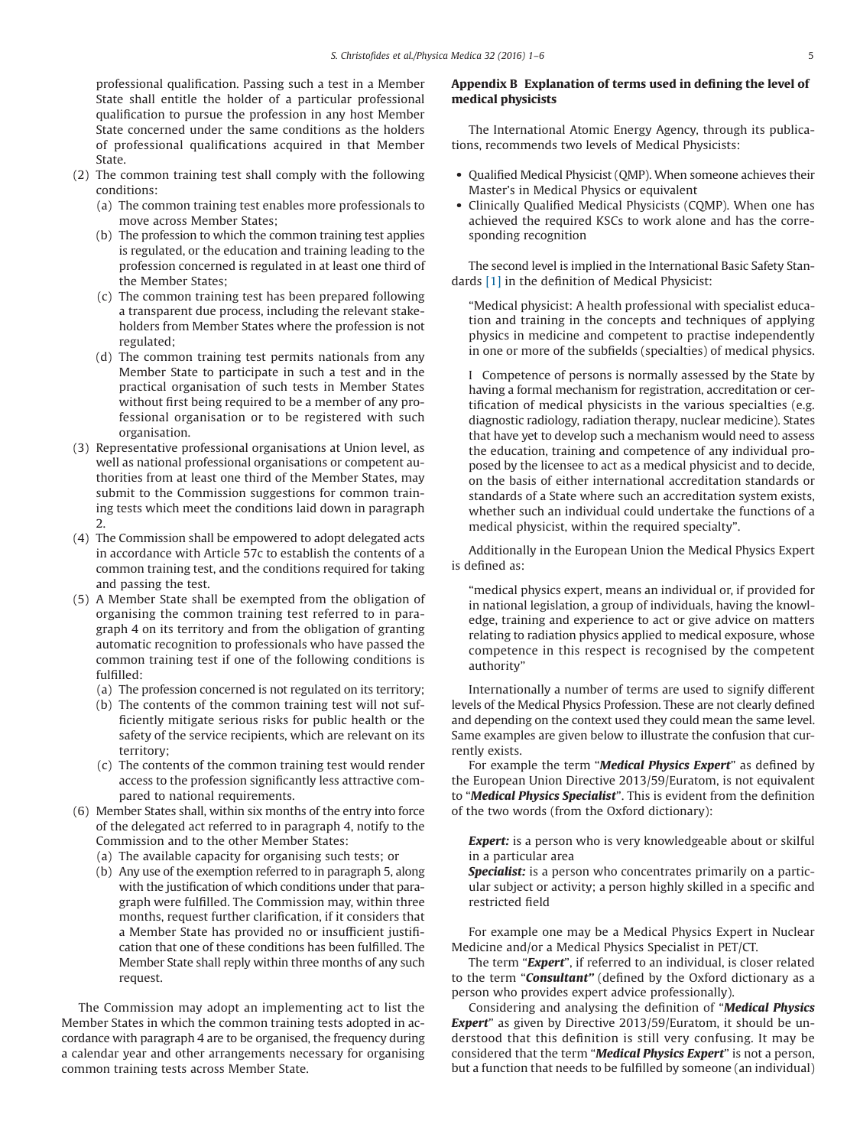professional qualification. Passing such a test in a Member State shall entitle the holder of a particular professional qualification to pursue the profession in any host Member State concerned under the same conditions as the holders of professional qualifications acquired in that Member State.

- (2) The common training test shall comply with the following conditions:
	- (a) The common training test enables more professionals to move across Member States;
	- (b) The profession to which the common training test applies is regulated, or the education and training leading to the profession concerned is regulated in at least one third of the Member States;
	- (c) The common training test has been prepared following a transparent due process, including the relevant stakeholders from Member States where the profession is not regulated;
	- (d) The common training test permits nationals from any Member State to participate in such a test and in the practical organisation of such tests in Member States without first being required to be a member of any professional organisation or to be registered with such organisation.
- (3) Representative professional organisations at Union level, as well as national professional organisations or competent authorities from at least one third of the Member States, may submit to the Commission suggestions for common training tests which meet the conditions laid down in paragraph 2.
- (4) The Commission shall be empowered to adopt delegated acts in accordance with Article 57c to establish the contents of a common training test, and the conditions required for taking and passing the test.
- (5) A Member State shall be exempted from the obligation of organising the common training test referred to in paragraph 4 on its territory and from the obligation of granting automatic recognition to professionals who have passed the common training test if one of the following conditions is fulfilled:
	- (a) The profession concerned is not regulated on its territory;
	- (b) The contents of the common training test will not sufficiently mitigate serious risks for public health or the safety of the service recipients, which are relevant on its territory;
	- (c) The contents of the common training test would render access to the profession significantly less attractive compared to national requirements.
- (6) Member States shall, within six months of the entry into force of the delegated act referred to in paragraph 4, notify to the Commission and to the other Member States:
	- (a) The available capacity for organising such tests; or
	- (b) Any use of the exemption referred to in paragraph 5, along with the justification of which conditions under that paragraph were fulfilled. The Commission may, within three months, request further clarification, if it considers that a Member State has provided no or insufficient justification that one of these conditions has been fulfilled. The Member State shall reply within three months of any such request.

The Commission may adopt an implementing act to list the Member States in which the common training tests adopted in accordance with paragraph 4 are to be organised, the frequency during a calendar year and other arrangements necessary for organising common training tests across Member State.

#### **Appendix B Explanation of terms used in defining the level of medical physicists**

The International Atomic Energy Agency, through its publications, recommends two levels of Medical Physicists:

- Qualified Medical Physicist (QMP). When someone achieves their Master's in Medical Physics or equivalent
- Clinically Qualified Medical Physicists (CQMP). When one has achieved the required KSCs to work alone and has the corresponding recognition

The second level is implied in the International Basic Safety Standards [\[1\]](#page-5-0) in the definition of Medical Physicist:

"Medical physicist: A health professional with specialist education and training in the concepts and techniques of applying physics in medicine and competent to practise independently in one or more of the subfields (specialties) of medical physics.

I Competence of persons is normally assessed by the State by having a formal mechanism for registration, accreditation or certification of medical physicists in the various specialties (e.g. diagnostic radiology, radiation therapy, nuclear medicine). States that have yet to develop such a mechanism would need to assess the education, training and competence of any individual proposed by the licensee to act as a medical physicist and to decide, on the basis of either international accreditation standards or standards of a State where such an accreditation system exists, whether such an individual could undertake the functions of a medical physicist, within the required specialty".

Additionally in the European Union the Medical Physics Expert is defined as:

"medical physics expert, means an individual or, if provided for in national legislation, a group of individuals, having the knowledge, training and experience to act or give advice on matters relating to radiation physics applied to medical exposure, whose competence in this respect is recognised by the competent authority"

Internationally a number of terms are used to signify different levels of the Medical Physics Profession. These are not clearly defined and depending on the context used they could mean the same level. Same examples are given below to illustrate the confusion that currently exists.

For example the term "*Medical Physics Expert*" as defined by the European Union Directive 2013/59/Euratom, is not equivalent to "*Medical Physics Specialist*". This is evident from the definition of the two words (from the Oxford dictionary):

*Expert:* is a person who is very knowledgeable about or skilful in a particular area

*Specialist:* is a person who concentrates primarily on a particular subject or activity; a person highly skilled in a specific and restricted field

For example one may be a Medical Physics Expert in Nuclear Medicine and/or a Medical Physics Specialist in PET/CT.

The term "*Expert*", if referred to an individual, is closer related to the term "*Consultant"* (defined by the Oxford dictionary as a person who provides expert advice professionally).

Considering and analysing the definition of "*Medical Physics Expert*" as given by Directive 2013/59/Euratom, it should be understood that this definition is still very confusing. It may be considered that the term "*Medical Physics Expert*" is not a person, but a function that needs to be fulfilled by someone (an individual)